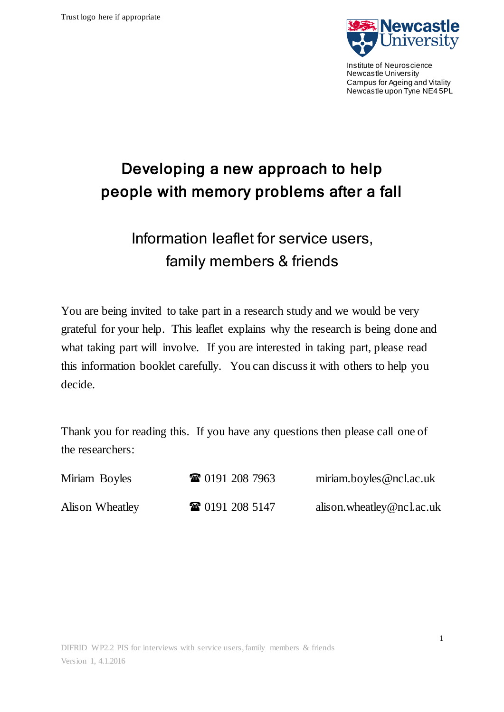

Institute of Neuroscience Newcastle University Campus for Ageing and Vitality Newcastle upon Tyne NE4 5PL

# Developing a new approach to help people with memory problems after a fall

# Information leaflet for service users, family members & friends

You are being invited to take part in a research study and we would be very grateful for your help. This leaflet explains why the research is being done and what taking part will involve. If you are interested in taking part, please read this information booklet carefully. You can discuss it with others to help you decide.

Thank you for reading this. If you have any questions then please call one of the researchers:

| Miriam Boyles   | <b>TE</b> 0191 208 7963 | miriam.boyles@ncl.ac.uk   |
|-----------------|-------------------------|---------------------------|
| Alison Wheatley | <b>TE</b> 0191 208 5147 | alison.wheatley@ncl.ac.uk |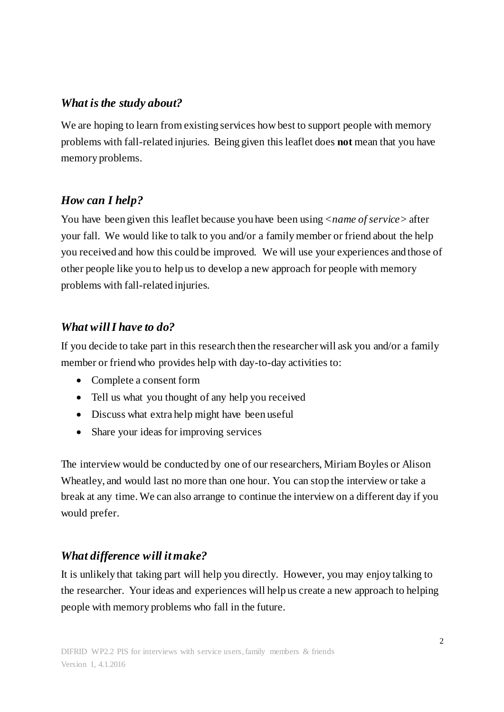#### *What is the study about?*

We are hoping to learn from existing services how best to support people with memory problems with fall-related injuries. Being given this leaflet does **not** mean that you have memory problems.

## *How can I help?*

You have been given this leaflet because you have been using <*name of service>* after your fall*.* We would like to talk to you and/or a family member or friend about the help you received and how this could be improved. We will use your experiences and those of other people like you to help us to develop a new approach for people with memory problems with fall-related injuries.

## *What will I have to do?*

If you decide to take part in this research then the researcher will ask you and/or a family member or friend who provides help with day-to-day activities to:

- Complete a consent form
- Tell us what you thought of any help you received
- Discuss what extra help might have been useful
- Share your ideas for improving services

The interview would be conducted by one of our researchers, Miriam Boyles or Alison Wheatley, and would last no more than one hour. You can stop the interview or take a break at any time. We can also arrange to continue the interview on a different day if you would prefer.

## *What difference will it make?*

It is unlikely that taking part will help you directly. However, you may enjoy talking to the researcher. Your ideas and experiences will help us create a new approach to helping people with memory problems who fall in the future.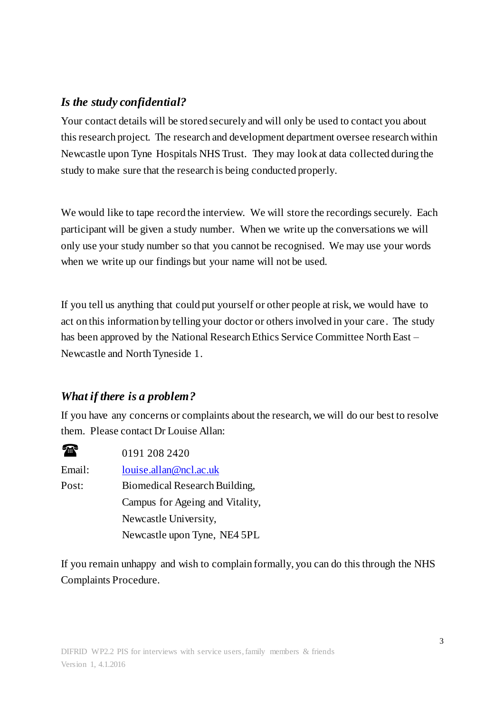#### *Is the study confidential?*

Your contact details will be stored securely and will only be used to contact you about this research project. The research and development department oversee research within Newcastle upon Tyne Hospitals NHS Trust. They may look at data collected during the study to make sure that the research is being conducted properly.

We would like to tape record the interview. We will store the recordings securely. Each participant will be given a study number. When we write up the conversations we will only use your study number so that you cannot be recognised. We may use your words when we write up our findings but your name will not be used.

If you tell us anything that could put yourself or other people at risk, we would have to act on this information by telling your doctor or others involved in your care. The study has been approved by the National Research Ethics Service Committee North East – Newcastle and North Tyneside 1.

## *What if there is a problem?*

If you have any concerns or complaints about the research, we will do our best to resolve them. Please contact Dr Louise Allan:

 $\bullet$  0191 208 2420 Email: [louise.allan@ncl.ac.uk](mailto:louise.allan@ncl.ac.uk) Post: Biomedical Research Building, Campus for Ageing and Vitality, Newcastle University, Newcastle upon Tyne, NE4 5PL

If you remain unhappy and wish to complain formally, you can do this through the NHS Complaints Procedure.